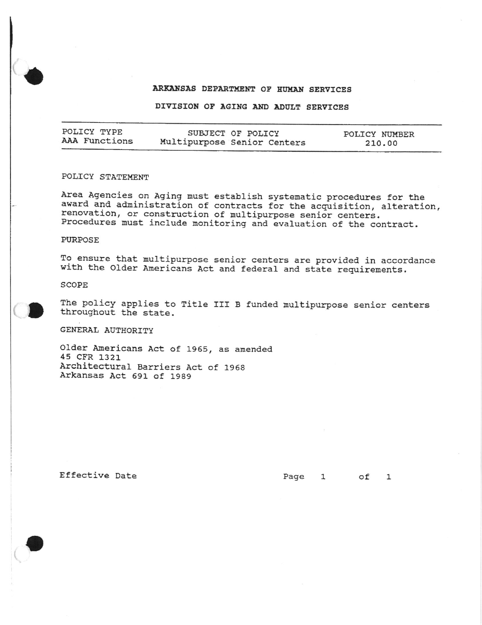# ARKANSAS DEPARTMENT OF HUMAN SERVICES

#### DIVISION OF AGING AND ADULT SERVICES

| POLICY TYPE   | SUBJECT OF POLICY           | POLICY NUMBER |
|---------------|-----------------------------|---------------|
| AAA Functions | Multipurpose Senior Centers | 210.00        |

# POLICY STATEMENT

Area Agencies on Aging must establish systematic procedures for the award and administration of contracts for the acquisition, alteration, renovation, or construction of multipurpose senior centers. Procedures must include monitoring and evaluation of the contract.

### PURPOSE

To ensure that multipurpose senior centers are provided in accordance with the Older Americans Act and federal and state requirements.

SCOPE



The policy applies to Title III B funded multipurpose senior centers throughout the state.

GENERAL AUTHORITY

Older Americans Act of 1965, as amended 45 CFR 1321 Architectural Barriers Act of 1968 Arkansas Act 691 of 1989

Effective Date

Page 1 of 1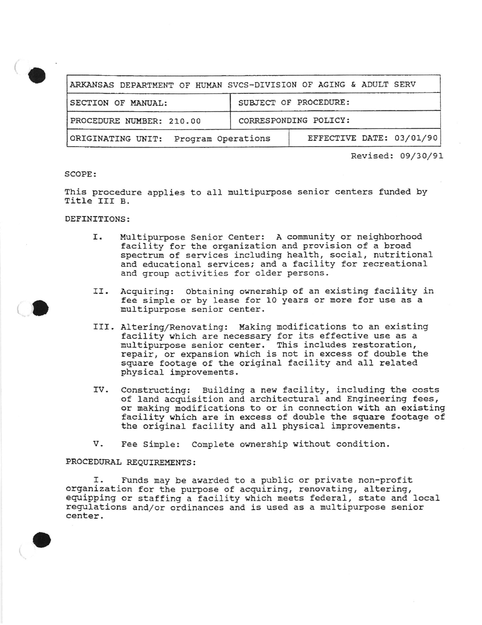

Revised: 09/30/91

#### SCOPE:

This procedure applies to all multipurpose senior centers funded by Title III B.

## DEFINITIONS:

- Multipurpose Senior Center: A community or neighborhood Ι. facility for the organization and provision of a broad spectrum of services including health, social, nutritional and educational services; and a facility for recreational and group activities for older persons.
- II. Acquiring: Obtaining ownership of an existing facility in fee simple or by lease for 10 years or more for use as a multipurpose senior center.
- III. Altering/Renovating: Making modifications to an existing facility which are necessary for its effective use as a multipurpose senior center. This includes restoration, repair, or expansion which is not in excess of double the square footage of the original facility and all related physical improvements.
- Constructing: Building a new facility, including the costs IV. of land acquisition and architectural and Engineering fees, or making modifications to or in connection with an existing facility which are in excess of double the square footage of the original facility and all physical improvements.
- v. Fee Simple: Complete ownership without condition.

#### PROCEDURAL REQUIREMENTS:

Funds may be awarded to a public or private non-profit Ι. organization for the purpose of acquiring, renovating, altering, equipping or staffing a facility which meets federal, state and local regulations and/or ordinances and is used as a multipurpose senior center.